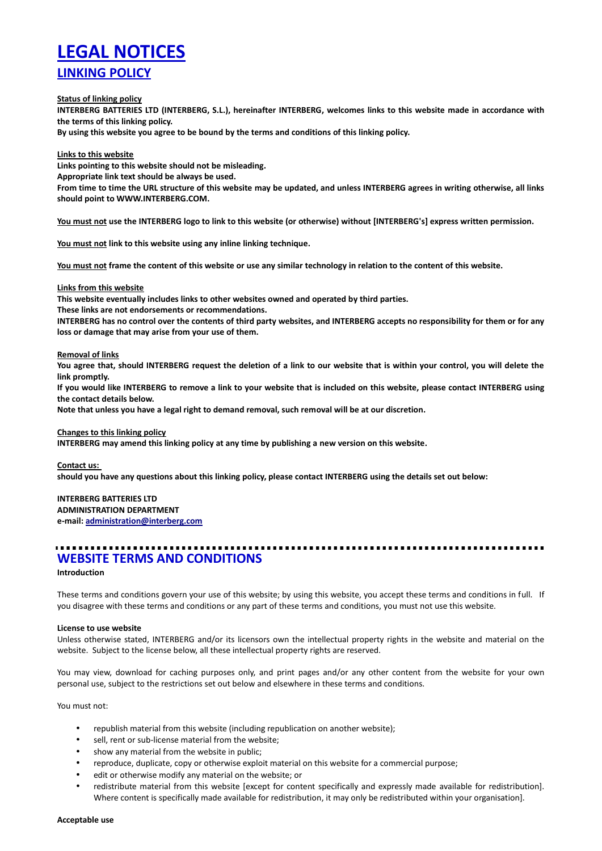# **LEGAL NOTICES LINKING POLICY**

**Status of linking policy**

**INTERBERG BATTERIES LTD (INTERBERG, S.L.), hereinafter INTERBERG, welcomes links to this website made in accordance with the terms of this linking policy.**

**By using this website you agree to be bound by the terms and conditions of this linking policy.**

**Links to this website**

**Links pointing to this website should not be misleading.**

**Appropriate link text should be always be used.**

**From time to time the URL structure of this website may be updated, and unless INTERBERG agrees in writing otherwise, all links should point to WWW.INTERBERG.COM.**

**You must not use the INTERBERG logo to link to this website (or otherwise) without [INTERBERG's] express written permission.**

**You must not link to this website using any inline linking technique.**

**You must not frame the content of this website or use any similar technology in relation to the content of this website.**

#### **Links from this website**

**This website eventually includes links to other websites owned and operated by third parties.**

**These links are not endorsements or recommendations.**

**INTERBERG has no control over the contents of third party websites, and INTERBERG accepts no responsibility for them or for any loss or damage that may arise from your use of them.**

#### **Removal of links**

**You agree that, should INTERBERG request the deletion of a link to our website that is within your control, you will delete the link promptly.**

**If you would like INTERBERG to remove a link to your website that is included on this website, please contact INTERBERG using the contact details below.**

**Note that unless you have a legal right to demand removal, such removal will be at our discretion.**

# **Changes to this linking policy**

**INTERBERG may amend this linking policy at any time by publishing a new version on this website.**

#### **Contact us:**

**should you have any questions about this linking policy, please contact INTERBERG using the details set out below:**

# **INTERBERG BATTERIES LTD**

**ADMINISTRATION DEPARTMENT**

**e-mail: administration@interberg.com**

# **WEBSITE TERMS AND CONDITIONS**

# **Introduction**

These terms and conditions govern your use of this website; by using this website, you accept these terms and conditions in full. If you disagree with these terms and conditions or any part of these terms and conditions, you must not use this website.

# **License to use website**

Unless otherwise stated, INTERBERG and/or its licensors own the intellectual property rights in the website and material on the website. Subject to the license below, all these intellectual property rights are reserved.

You may view, download for caching purposes only, and print pages and/or any other content from the website for your own personal use, subject to the restrictions set out below and elsewhere in these terms and conditions.

You must not:

- republish material from this website (including republication on another website);
- sell, rent or sub-license material from the website;
- show any material from the website in public;
- reproduce, duplicate, copy or otherwise exploit material on this website for a commercial purpose;
- edit or otherwise modify any material on the website; or
- redistribute material from this website [except for content specifically and expressly made available for redistribution]. Where content is specifically made available for redistribution, it may only be redistributed within your organisation].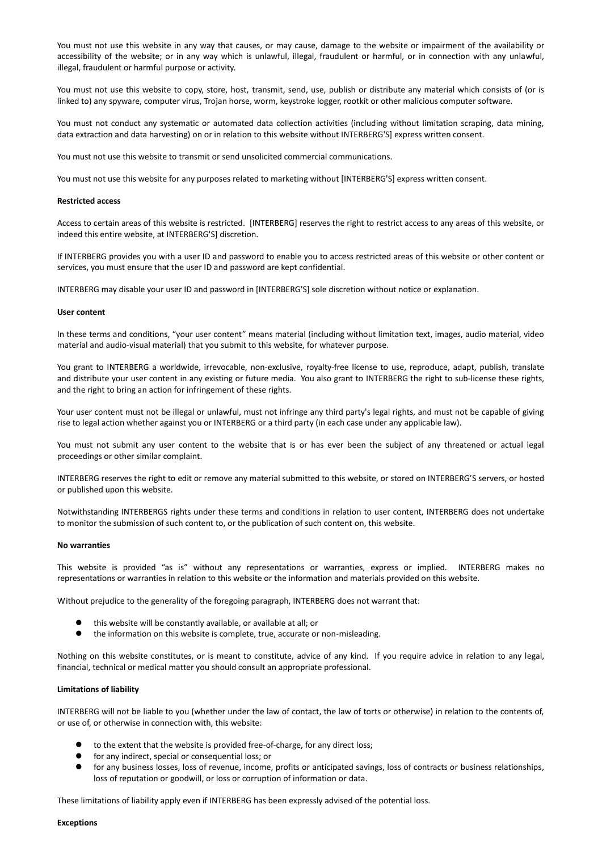You must not use this website in any way that causes, or may cause, damage to the website or impairment of the availability or accessibility of the website; or in any way which is unlawful, illegal, fraudulent or harmful, or in connection with any unlawful, illegal, fraudulent or harmful purpose or activity.

You must not use this website to copy, store, host, transmit, send, use, publish or distribute any material which consists of (or is linked to) any spyware, computer virus, Trojan horse, worm, keystroke logger, rootkit or other malicious computer software.

You must not conduct any systematic or automated data collection activities (including without limitation scraping, data mining, data extraction and data harvesting) on or in relation to this website without INTERBERG'S] express written consent.

You must not use this website to transmit or send unsolicited commercial communications.

You must not use this website for any purposes related to marketing without [INTERBERG'S] express written consent.

#### **Restricted access**

Access to certain areas of this website is restricted. [INTERBERG] reserves the right to restrict access to any areas of this website, or indeed this entire website, at INTERBERG'S] discretion.

If INTERBERG provides you with a user ID and password to enable you to access restricted areas of this website or other content or services, you must ensure that the user ID and password are kept confidential.

INTERBERG may disable your user ID and password in [INTERBERG'S] sole discretion without notice or explanation.

#### **User content**

In these terms and conditions, "your user content" means material (including without limitation text, images, audio material, video material and audio-visual material) that you submit to this website, for whatever purpose.

You grant to INTERBERG a worldwide, irrevocable, non-exclusive, royalty-free license to use, reproduce, adapt, publish, translate and distribute your user content in any existing or future media. You also grant to INTERBERG the right to sub-license these rights, and the right to bring an action for infringement of these rights.

Your user content must not be illegal or unlawful, must not infringe any third party's legal rights, and must not be capable of giving rise to legal action whether against you or INTERBERG or a third party (in each case under any applicable law).

You must not submit any user content to the website that is or has ever been the subject of any threatened or actual legal proceedings or other similar complaint.

INTERBERG reserves the right to edit or remove any material submitted to this website, or stored on INTERBERG'S servers, or hosted or published upon this website.

Notwithstanding INTERBERGS rights under these terms and conditions in relation to user content, INTERBERG does not undertake to monitor the submission of such content to, or the publication of such content on, this website.

#### **No warranties**

This website is provided "as is" without any representations or warranties, express or implied. INTERBERG makes no representations or warranties in relation to this website or the information and materials provided on this website.

Without prejudice to the generality of the foregoing paragraph, INTERBERG does not warrant that:

- this website will be constantly available, or available at all; or
- the information on this website is complete, true, accurate or non-misleading.

Nothing on this website constitutes, or is meant to constitute, advice of any kind. If you require advice in relation to any legal, financial, technical or medical matter you should consult an appropriate professional.

# **Limitations of liability**

INTERBERG will not be liable to you (whether under the law of contact, the law of torts or otherwise) in relation to the contents of, or use of, or otherwise in connection with, this website:

- to the extent that the website is provided free-of-charge, for any direct loss;
- for any indirect, special or consequential loss; or
- for any business losses, loss of revenue, income, profits or anticipated savings, loss of contracts or business relationships, loss of reputation or goodwill, or loss or corruption of information or data.

These limitations of liability apply even if INTERBERG has been expressly advised of the potential loss.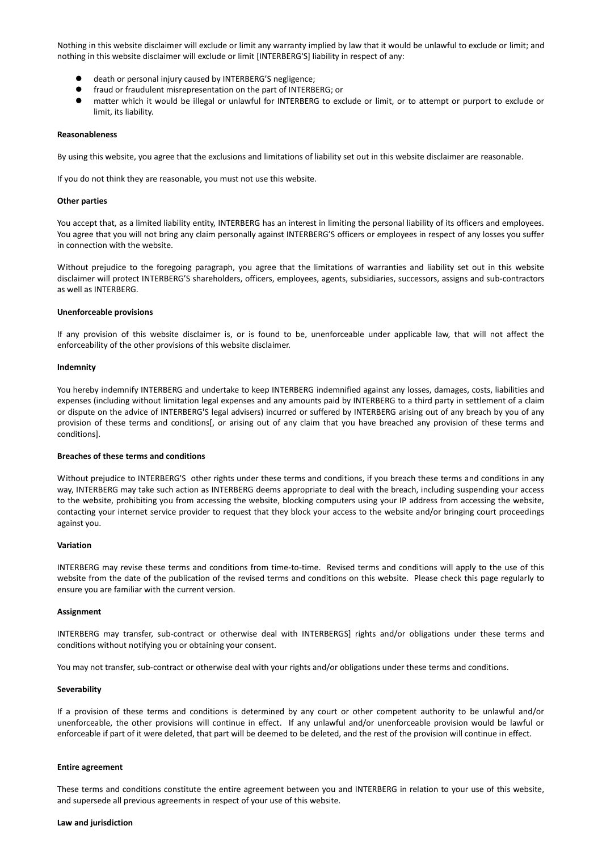Nothing in this website disclaimer will exclude or limit any warranty implied by law that it would be unlawful to exclude or limit; and nothing in this website disclaimer will exclude or limit [INTERBERG'S] liability in respect of any:

- death or personal injury caused by INTERBERG'S negligence;
- fraud or fraudulent misrepresentation on the part of INTERBERG; or
- matter which it would be illegal or unlawful for INTERBERG to exclude or limit, or to attempt or purport to exclude or limit, its liability.

#### **Reasonableness**

By using this website, you agree that the exclusions and limitations of liability set out in this website disclaimer are reasonable.

If you do not think they are reasonable, you must not use this website.

#### **Other parties**

You accept that, as a limited liability entity, INTERBERG has an interest in limiting the personal liability of its officers and employees. You agree that you will not bring any claim personally against INTERBERG'S officers or employees in respect of any losses you suffer in connection with the website.

Without prejudice to the foregoing paragraph, you agree that the limitations of warranties and liability set out in this website disclaimer will protect INTERBERG'S shareholders, officers, employees, agents, subsidiaries, successors, assigns and sub-contractors as well as INTERBERG.

#### **Unenforceable provisions**

If any provision of this website disclaimer is, or is found to be, unenforceable under applicable law, that will not affect the enforceability of the other provisions of this website disclaimer.

#### **Indemnity**

You hereby indemnify INTERBERG and undertake to keep INTERBERG indemnified against any losses, damages, costs, liabilities and expenses (including without limitation legal expenses and any amounts paid by INTERBERG to a third party in settlement of a claim or dispute on the advice of INTERBERG'S legal advisers) incurred or suffered by INTERBERG arising out of any breach by you of any provision of these terms and conditions[, or arising out of any claim that you have breached any provision of these terms and conditions].

#### **Breaches of these terms and conditions**

Without prejudice to INTERBERG'S other rights under these terms and conditions, if you breach these terms and conditions in any way, INTERBERG may take such action as INTERBERG deems appropriate to deal with the breach, including suspending your access to the website, prohibiting you from accessing the website, blocking computers using your IP address from accessing the website, contacting your internet service provider to request that they block your access to the website and/or bringing court proceedings against you.

#### **Variation**

INTERBERG may revise these terms and conditions from time-to-time. Revised terms and conditions will apply to the use of this website from the date of the publication of the revised terms and conditions on this website. Please check this page regularly to ensure you are familiar with the current version.

#### **Assignment**

INTERBERG may transfer, sub-contract or otherwise deal with INTERBERGS] rights and/or obligations under these terms and conditions without notifying you or obtaining your consent.

You may not transfer, sub-contract or otherwise deal with your rights and/or obligations under these terms and conditions.

# **Severability**

If a provision of these terms and conditions is determined by any court or other competent authority to be unlawful and/or unenforceable, the other provisions will continue in effect. If any unlawful and/or unenforceable provision would be lawful or enforceable if part of it were deleted, that part will be deemed to be deleted, and the rest of the provision will continue in effect.

### **Entire agreement**

These terms and conditions constitute the entire agreement between you and INTERBERG in relation to your use of this website, and supersede all previous agreements in respect of your use of this website.

#### **Law and jurisdiction**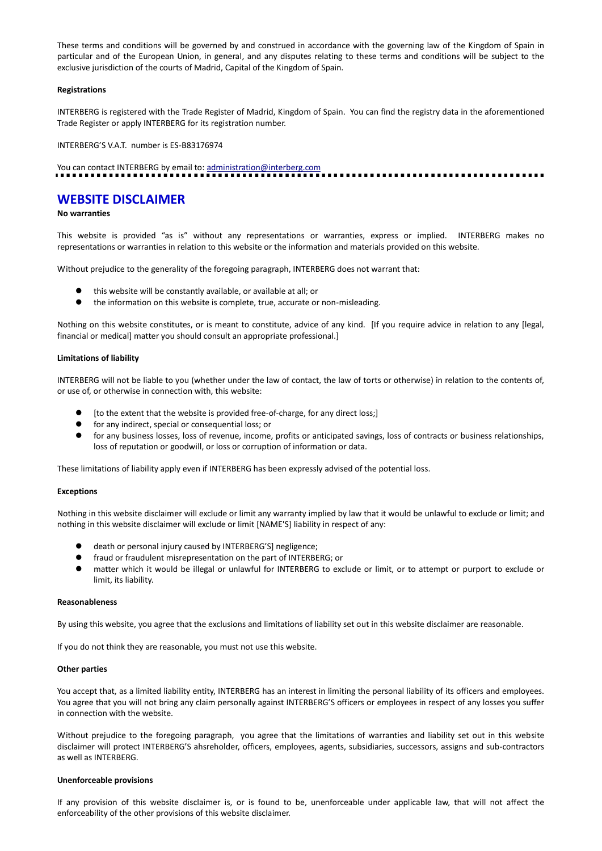These terms and conditions will be governed by and construed in accordance with the governing law of the Kingdom of Spain in particular and of the European Union, in general, and any disputes relating to these terms and conditions will be subject to the exclusive jurisdiction of the courts of Madrid, Capital of the Kingdom of Spain.

### **Registrations**

INTERBERG is registered with the Trade Register of Madrid, Kingdom of Spain. You can find the registry data in the aforementioned Trade Register or apply INTERBERG for its registration number.

INTERBERG'S V.A.T. number is ES-B83176974

You can contact INTERBERG by email to: administration@interberg.com

# **WEBSITE DISCLAIMER**

# **No warranties**

This website is provided "as is" without any representations or warranties, express or implied. INTERBERG makes no representations or warranties in relation to this website or the information and materials provided on this website.

Without prejudice to the generality of the foregoing paragraph, INTERBERG does not warrant that:

- this website will be constantly available, or available at all; or
- the information on this website is complete, true, accurate or non-misleading.

Nothing on this website constitutes, or is meant to constitute, advice of any kind. [If you require advice in relation to any [legal, financial or medical] matter you should consult an appropriate professional.]

# **Limitations of liability**

INTERBERG will not be liable to you (whether under the law of contact, the law of torts or otherwise) in relation to the contents of, or use of, or otherwise in connection with, this website:

- [to the extent that the website is provided free-of-charge, for any direct loss;]
- **•** for any indirect, special or consequential loss; or
- for any business losses, loss of revenue, income, profits or anticipated savings, loss of contracts or business relationships, loss of reputation or goodwill, or loss or corruption of information or data.

These limitations of liability apply even if INTERBERG has been expressly advised of the potential loss.

#### **Exceptions**

Nothing in this website disclaimer will exclude or limit any warranty implied by law that it would be unlawful to exclude or limit; and nothing in this website disclaimer will exclude or limit [NAME'S] liability in respect of any:

- death or personal injury caused by INTERBERG'S] negligence;
- fraud or fraudulent misrepresentation on the part of INTERBERG; or<br>● matter which it would be illegal or unlawful for INTERBERG to exc
- matter which it would be illegal or unlawful for INTERBERG to exclude or limit, or to attempt or purport to exclude or limit, its liability.

#### **Reasonableness**

By using this website, you agree that the exclusions and limitations of liability set out in this website disclaimer are reasonable.

If you do not think they are reasonable, you must not use this website.

# **Other parties**

You accept that, as a limited liability entity, INTERBERG has an interest in limiting the personal liability of its officers and employees. You agree that you will not bring any claim personally against INTERBERG'S officers or employees in respect of any losses you suffer in connection with the website.

Without prejudice to the foregoing paragraph, you agree that the limitations of warranties and liability set out in this website disclaimer will protect INTERBERG'S ahsreholder, officers, employees, agents, subsidiaries, successors, assigns and sub-contractors as well as INTERBERG.

# **Unenforceable provisions**

If any provision of this website disclaimer is, or is found to be, unenforceable under applicable law, that will not affect the enforceability of the other provisions of this website disclaimer.